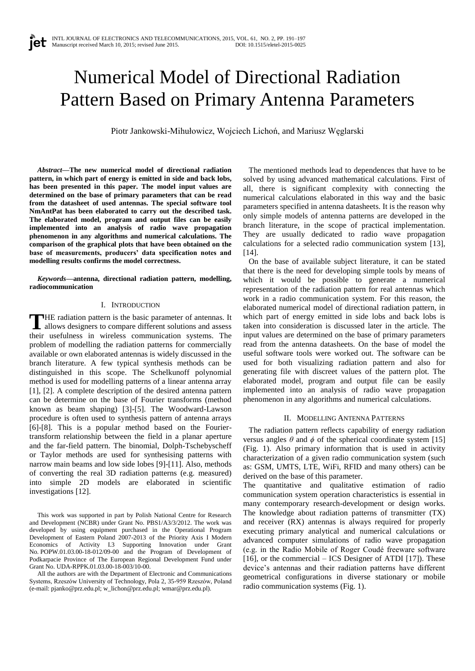# Numerical Model of Directional Radiation Pattern Based on Primary Antenna Parameters

Piotr Jankowski-Mihułowicz, Wojciech Lichoń, and Mariusz Węglarski

*Abstract***—The new numerical model of directional radiation pattern, in which part of energy is emitted in side and back lobs, has been presented in this paper. The model input values are determined on the base of primary parameters that can be read from the datasheet of used antennas. The special software tool NmAntPat has been elaborated to carry out the described task. The elaborated model, program and output files can be easily implemented into an analysis of radio wave propagation phenomenon in any algorithms and numerical calculations. The comparison of the graphical plots that have been obtained on the base of measurements, producers' data specification notes and modelling results confirms the model correctness.**

*Keywords***—antenna, directional radiation pattern, modelling, radiocommunication**

## I. INTRODUCTION

HE radiation pattern is the basic parameter of antennas. It THE radiation pattern is the basic parameter of antennas. It allows designers to compare different solutions and asses their usefulness in wireless communication systems. The problem of modelling the radiation patterns for commercially available or own elaborated antennas is widely discussed in the branch literature. A few typical synthesis methods can be distinguished in this scope. The Schelkunoff polynomial method is used for modelling patterns of a linear antenna array [1], [2]. A complete description of the desired antenna pattern can be determine on the base of Fourier transforms (method known as beam shaping) [3]-[5]. The Woodward-Lawson procedure is often used to synthesis pattern of antenna arrays [6]-[8]. This is a popular method based on the Fouriertransform relationship between the field in a planar aperture and the far-field pattern. The binomial, Dolph-Tschebyscheff or Taylor methods are used for synthesising patterns with narrow main beams and low side lobes [9]-[11]. Also, methods of converting the real 3D radiation patterns (e.g. measured) into simple 2D models are elaborated in scientific investigations [12].

This work was supported in part by Polish National Centre for Research and Development (NCBR) under Grant No. PBS1/A3/3/2012. The work was developed by using equipment purchased in the Operational Program Development of Eastern Poland 2007-2013 of the Priority Axis I Modern Economics of Activity I.3 Supporting Innovation under Grant No. POPW.01.03.00-18-012/09-00 and the Program of Development of Podkarpacie Province of The European Regional Development Fund under Grant No. UDA-RPPK.01.03.00-18-003/10-00.

All the authors are with the Department of Electronic and Communications Systems, Rzeszów University of Technology, Pola 2, 35-959 Rzeszów, Poland (e-mail: pjanko@prz.edu.pl; w\_lichon@prz.edu.pl; wmar@prz.edu.pl).

The mentioned methods lead to dependences that have to be solved by using advanced mathematical calculations. First of all, there is significant complexity with connecting the numerical calculations elaborated in this way and the basic parameters specified in antenna datasheets. It is the reason why only simple models of antenna patterns are developed in the branch literature, in the scope of practical implementation. They are usually dedicated to radio wave propagation calculations for a selected radio communication system [13],  $[14]$ .

On the base of available subject literature, it can be stated that there is the need for developing simple tools by means of which it would be possible to generate a numerical representation of the radiation pattern for real antennas which work in a radio communication system. For this reason, the elaborated numerical model of directional radiation pattern, in which part of energy emitted in side lobs and back lobs is taken into consideration is discussed later in the article. The input values are determined on the base of primary parameters read from the antenna datasheets. On the base of model the useful software tools were worked out. The software can be used for both visualizing radiation pattern and also for generating file with discreet values of the pattern plot. The elaborated model, program and output file can be easily implemented into an analysis of radio wave propagation phenomenon in any algorithms and numerical calculations.

## II. MODELLING ANTENNA PATTERNS

The radiation pattern reflects capability of energy radiation versus angles  $\theta$  and  $\phi$  of the spherical coordinate system [15] (Fig. 1). Also primary information that is used in activity characterization of a given radio communication system (such as: GSM, UMTS, LTE, WiFi, RFID and many others) can be derived on the base of this parameter.

The quantitative and qualitative estimation of radio communication system operation characteristics is essential in many contemporary research-development or design works. The knowledge about radiation patterns of transmitter (TX) and receiver (RX) antennas is always required for properly executing primary analytical and numerical calculations or advanced computer simulations of radio wave propagation (e.g. in the Radio Mobile of Roger Coudé freeware software [16], or the commercial – ICS Designer of ATDI [17]). These device's antennas and their radiation patterns have different geometrical configurations in diverse stationary or mobile radio communication systems (Fig. 1).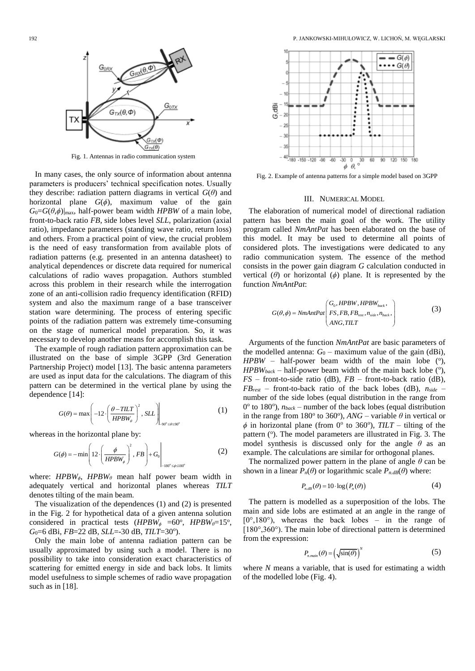

Fig. 1. Antennas in radio communication system

In many cases, the only source of information about antenna parameters is producers' technical specification notes. Usually they describe: radiation pattern diagrams in vertical  $G(\theta)$  and horizontal plane  $G(\phi)$ , maximum value of the gain  $G_0 = G(\theta, \phi)|_{\text{max}}$ , half-power beam width *HPBW* of a main lobe, front-to-back ratio *FB*, side lobes level *SLL*, polarization (axial ratio), impedance parameters (standing wave ratio, return loss) and others. From a practical point of view, the crucial problem is the need of easy transformation from available plots of radiation patterns (e.g. presented in an antenna datasheet) to analytical dependences or discrete data required for numerical calculations of radio waves propagation. Authors stumbled across this problem in their research while the interrogation zone of an anti-collision radio frequency identification (RFID) system and also the maximum range of a base transceiver station ware determining. The process of entering specific points of the radiation pattern was extremely time-consuming on the stage of numerical model preparation. So, it was necessary to develop another means for accomplish this task.

The example of rough radiation pattern approximation can be illustrated on the base of simple 3GPP (3rd Generation Partnership Project) model [13]. The basic antenna parameters are used as input data for the calculations. The diagram of this pattern can be determined in the vertical plane by using the dependence [14]:

$$
G(\theta) = \max \left( -12 \cdot \left( \frac{\theta - TILT}{HPBW_{\theta}} \right)^2, SL \right)_{\theta^0 \le \theta \le 90^\circ}
$$
 (1)

whereas in the horizontal plane by:  
\n
$$
G(\phi) = -\min\left(12 \cdot \left(\frac{\phi}{HPBW_{\phi}}\right)^{2}, FB\right) + G_{0}
$$
\n
$$
(2)
$$

where: *HPBWϕ*, *HPBW<sup>θ</sup>* mean half power beam width in adequately vertical and horizontal planes whereas *TILT* denotes tilting of the main beam.

The visualization of the dependences (1) and (2) is presented in the Fig. 2 for hypothetical data of a given antenna solution considered in practical tests  $(HPBW_{\phi} = 60^{\circ}, HPBW_{\theta} = 15^{\circ},$ *G*<sub>0</sub>=6 dBi, *FB*=22 dB, *SLL*=-30 dB, *TILT*=30°).

Only the main lobe of antenna radiation pattern can be usually approximated by using such a model. There is no possibility to take into consideration exact characteristics of scattering for emitted energy in side and back lobs. It limits model usefulness to simple schemes of radio wave propagation such as in [18].



Fig. 2. Example of antenna patterns for a simple model based on 3GPP

### III. NUMERICAL MODEL

The elaboration of numerical model of directional radiation pattern has been the main goal of the work. The utility program called *NmAntPat* has been elaborated on the base of this model. It may be used to determine all points of considered plots. The investigations were dedicated to any radio communication system. The essence of the method consists in the power gain diagram *G* calculation conducted in vertical  $(\theta)$  or horizontal  $(\phi)$  plane. It is represented by the function *NmAntPat*:

$$
G(\theta, \phi) = NmAntPat\begin{pmatrix} G_0, HPBW, HPBW_{back}, \\ FS, FB, FB_{rest}, n_{side}, n_{back}, \\ ANG, TILT \end{pmatrix}
$$
 (3)

Arguments of the function *NmAntPat* are basic parameters of the modelled antenna:  $G_0$  – maximum value of the gain (dBi),  $HPBW$  – half-power beam width of the main lobe  $(°)$ ,  $HPBW_{back}$  – half-power beam width of the main back lobe  $(°)$ , *FS* – front-to-side ratio (dB), *FB* – front-to-back ratio (dB),  $FB_{rest}$  – front-to-back ratio of the back lobes (dB),  $n_{side}$  – number of the side lobes (equal distribution in the range from  $0^{\circ}$  to 180 $^{\circ}$ ),  $n_{back}$  – number of the back lobes (equal distribution in the range from  $180^\circ$  to  $360^\circ$ ),  $ANG$  – variable  $\theta$  in vertical or  $\phi$  in horizontal plane (from 0° to 360°), *TILT* – tilting of the pattern (°). The model parameters are illustrated in Fig. 3. The model synthesis is discussed only for the angle *θ* as an example. The calculations are similar for orthogonal planes.

The normalized power pattern in the plane of angle *θ* can be shown in a linear  $P_n(\theta)$  or logarithmic scale  $P_{n,dB}(\theta)$  where:

$$
P_{n,dB}(\theta) = 10 \cdot \log (P_n(\theta))
$$
\n(4)

The pattern is modelled as a superposition of the lobs. The main and side lobs are estimated at an angle in the range of  $[0^\circ, 180^\circ)$ , whereas the back lobes – in the range of [180°,360°). The main lobe of directional pattern is determined from the expression:

$$
P_{n,\text{main}}(\theta) = \left(\sqrt{\sin(\theta)}\right)^{N} \tag{5}
$$

where *N* means a variable, that is used for estimating a width of the modelled lobe (Fig. 4).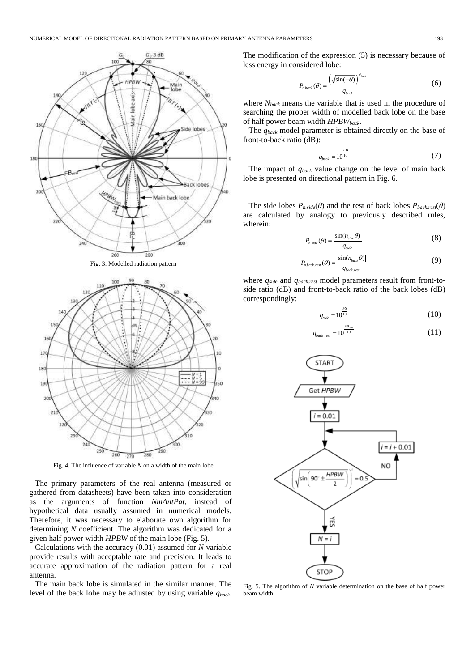

Fig. 3. Modelled radiation pattern



Fig. 4. The influence of variable *N* on a width of the main lobe

The primary parameters of the real antenna (measured or gathered from datasheets) have been taken into consideration as the arguments of function *NmAntPat*, instead of hypothetical data usually assumed in numerical models. Therefore, it was necessary to elaborate own algorithm for determining *N* coefficient. The algorithm was dedicated for a given half power width *HPBW* of the main lobe (Fig. 5).

Calculations with the accuracy (0.01) assumed for *N* variable provide results with acceptable rate and precision. It leads to accurate approximation of the radiation pattern for a real antenna.

The main back lobe is simulated in the similar manner. The level of the back lobe may be adjusted by using variable *qback*. The modification of the expression (5) is necessary because of less energy in considered lobe:

$$
P_{n,back}(\theta) = \frac{\left(\sqrt{\sin(-\theta)}\right)^{N_{back}}}{q_{back}}
$$
 (6)

where *Nback* means the variable that is used in the procedure of searching the proper width of modelled back lobe on the base of half power beam width *HPBWback*.

The *qback* model parameter is obtained directly on the base of front-to-back ratio (dB):

$$
q_{back} = 10^{\frac{FB}{10}} \tag{7}
$$

The impact of *qback* value change on the level of main back lobe is presented on directional pattern in Fig. 6.

The side lobes  $P_{n.side}(\theta)$  and the rest of back lobes  $P_{back,rest}(\theta)$ are calculated by analogy to previously described rules, wherein:

$$
P_{n,side}(\theta) = \frac{\left|\sin(n_{side}\theta)\right|}{q_{side}} \tag{8}
$$

$$
P_{n,back,rest}(\theta) = \frac{\left|\sin(n_{back}\theta)\right|}{q_{back,rest}}
$$
(9)

where *qside* and *qback.rest* model parameters result from front-toside ratio (dB) and front-to-back ratio of the back lobes (dB) correspondingly:

$$
q_{side} = 10^{\frac{FS}{10}} \tag{10}
$$

$$
q_{back. rest} = 10^{\frac{FB_{rest}}{10}}
$$
 (11)



Fig. 5. The algorithm of *N* variable determination on the base of half power beam width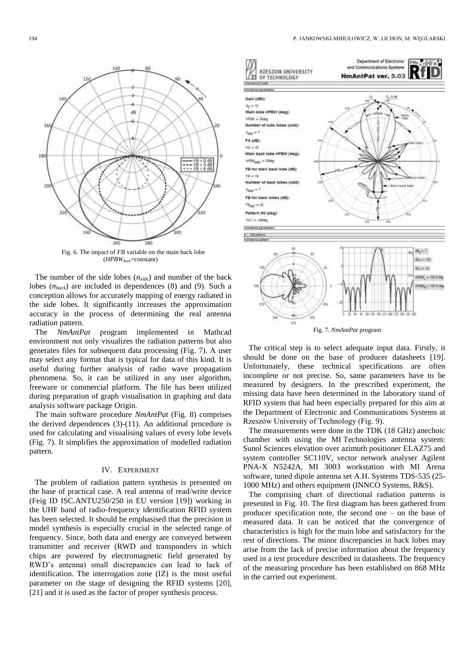

The number of the side lobes (*nside*) and number of the back lobes (*nback*) are included in dependences (8) and (9). Such a conception allows for accurately mapping of energy radiated in the side lobes. It significantly increases the approximation accuracy in the process of determining the real antenna radiation pattern.

The *NmAntPat* program implemented in Mathcad environment not only visualizes the radiation patterns but also generates files for subsequent data processing (Fig. 7). A user may select any format that is typical for data of this kind. It is useful during further analysis of radio wave propagation phenomena. So, it can be utilized in any user algorithm, freeware or commercial platform. The file has been utilized during preparation of graph visualisation in graphing and data analysis software package Origin.

The main software procedure *NmAntPat* (Fig. 8) comprises the derived dependences (3)-(11). An additional procedure is used for calculating and visualising values of every lobe levels (Fig. 7). It simplifies the approximation of modelled radiation pattern.

#### IV. EXPERIMENT

The problem of radiation pattern synthesis is presented on the base of practical case. A real antenna of read/write device (Feig ID ISC.ANTU250/250 in EU version [19]) working in the UHF band of radio-frequency identification RFID system has been selected. It should be emphasised that the precision in model synthesis is especially crucial in the selected range of frequency. Since, both data and energy are conveyed between transmitter and receiver (RWD and transponders in which chips are powered by electromagnetic field generated by RWD's antenna) small discrepancies can lead to lack of identification. The interrogation zone (IZ) is the most useful parameter on the stage of designing the RFID systems [20], [21] and it is used as the factor of proper synthesis process.



Fig. 7. *NmAntPat* program

The critical step is to select adequate input data. Firstly, it should be done on the base of producer datasheets [19]. Unfortunately, these technical specifications are often incomplete or not precise. So, same parameters have to be measured by designers. In the prescribed experiment, the missing data have been determined in the laboratory stand of RFID system that had been especially prepared for this aim at the Department of Electronic and Communications Systems at Rzeszów University of Technology (Fig. 9).

The measurements were done in the TDK (18 GHz) anechoic chamber with using the MI Technologies antenna system: Sunol Sciences elevation over azimuth positioner ELAZ75 and system controller SC110V, vector network analyser Agilent PNA-X N5242A, MI 3003 workstation with MI Arena software, tuned dipole antenna set A.H. Systems TDS-535 (25- 1000 MHz) and others equipment (INNCO Systems, R&S).

The comprising chart of directional radiation patterns is presented in Fig. 10. The first diagram has been gathered from producer specification note, the second one – on the base of measured data. It can be noticed that the convergence of characteristics is high for the main lobe and satisfactory for the rest of directions. The minor discrepancies in back lobes may arise from the lack of precise information about the frequency used in a test procedure described in datasheets. The frequency of the measuring procedure has been established on 868 MHz in the carried out experiment.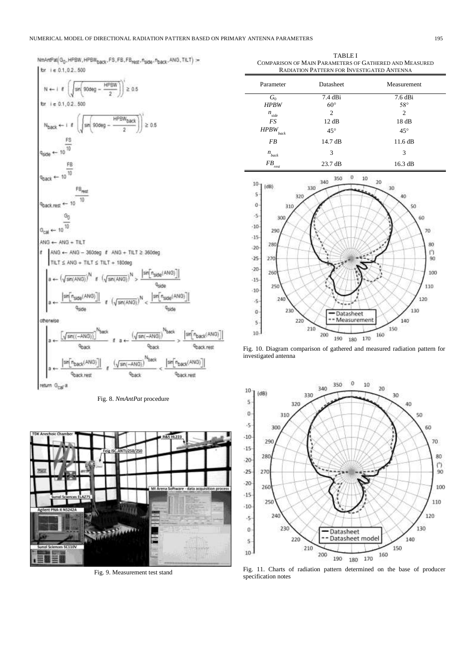## NUMERICAL MODEL OF DIRECTIONAL RADIATION PATTERN BASED ON PRIMARY ANTENNA PARAMETERS 195

NmAntPat(G<sub>0</sub>, HPBW, HPBW<sub>back</sub>, FS, FB, FB<sub>rest</sub>, n<sub>side</sub>, n<sub>back</sub>, ANG, TILT) :=

for ie 0.1, 0.2..500

TABLE I COMPARISON OF MAIN PARAMETERS OF GATHERED AND MEASURED RADIATION PATTERN FOR INVESTIGATED ANTENNA

| Parameter                               | Datasheet                               | Measurement                            |
|-----------------------------------------|-----------------------------------------|----------------------------------------|
| $G_0$<br><b>HPBW</b>                    | $7.4$ dBi<br>$60^{\circ}$               | 7.6 dBi<br>$58^\circ$                  |
| $n_{side}$<br>FS<br><b>HPBW</b><br>back | $\overline{c}$<br>12 dB<br>$45^{\circ}$ | $\overline{c}$<br>18dB<br>$45^{\circ}$ |
| FB                                      | 14.7 dB                                 | 11.6 dB                                |
| $n_{back}$                              | 3                                       | 3                                      |
| FB<br>rest                              | $23.7 \text{ dB}$                       | 16.3 dB                                |



Fig. 10. Diagram comparison of gathered and measured radiation pattern for investigated antenna



Fig. 11. Charts of radiation pattern determined on the base of producer specification notes





Fig. 9. Measurement test stand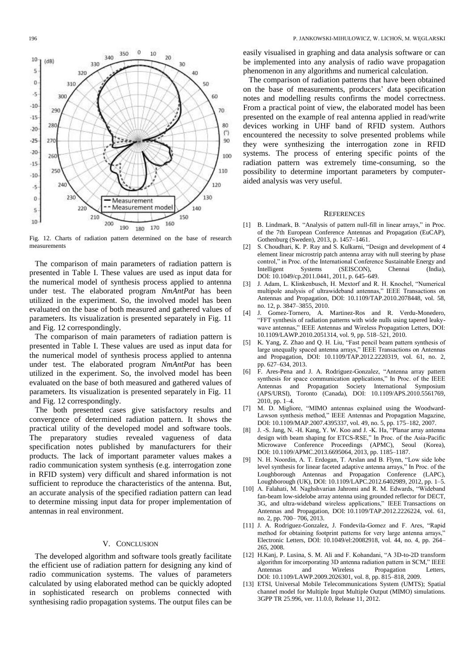

Fig. 12. Charts of radiation pattern determined on the base of research measurements

The comparison of main parameters of radiation pattern is presented in Table I. These values are used as input data for the numerical model of synthesis process applied to antenna under test. The elaborated program *NmAntPat* has been utilized in the experiment. So, the involved model has been evaluated on the base of both measured and gathered values of parameters. Its visualization is presented separately in Fig. 11 and Fig. 12 correspondingly.

The comparison of main parameters of radiation pattern is presented in Table I. These values are used as input data for the numerical model of synthesis process applied to antenna under test. The elaborated program *NmAntPat* has been utilized in the experiment. So, the involved model has been evaluated on the base of both measured and gathered values of parameters. Its visualization is presented separately in Fig. 11 and Fig. 12 correspondingly.

The both presented cases give satisfactory results and convergence of determined radiation pattern. It shows the practical utility of the developed model and software tools. The preparatory studies revealed vagueness of data specification notes published by manufacturers for their products. The lack of important parameter values makes a radio communication system synthesis (e.g. interrogation zone in RFID system) very difficult and shared information is not sufficient to reproduce the characteristics of the antenna. But, an accurate analysis of the specified radiation pattern can lead to determine missing input data for proper implementation of antennas in real environment.

# V. CONCLUSION

The developed algorithm and software tools greatly facilitate the efficient use of radiation pattern for designing any kind of radio communication systems. The values of parameters calculated by using elaborated method can be quickly adopted in sophisticated research on problems connected with synthesising radio propagation systems. The output files can be easily visualised in graphing and data analysis software or can be implemented into any analysis of radio wave propagation phenomenon in any algorithms and numerical calculation.

The comparison of radiation patterns that have been obtained on the base of measurements, producers' data specification notes and modelling results confirms the model correctness. From a practical point of view, the elaborated model has been presented on the example of real antenna applied in read/write devices working in UHF band of RFID system. Authors encountered the necessity to solve presented problems while they were synthesizing the interrogation zone in RFID systems. The process of entering specific points of the radiation pattern was extremely time-consuming, so the possibility to determine important parameters by computeraided analysis was very useful.

## **REFERENCES**

- [1] B. Lindmark, B. "Analysis of pattern null-fill in linear arrays," in Proc. of the 7th European Conference Antennas and Propagation (EuCAP), Gothenburg (Sweden), 2013, p. 1457–1461.
- [2] S. Choudhari, K. P. Ray and S. Kulkarni, "Design and development of 4 element linear microstrip patch antenna array with null steering by phase control," in Proc. of the International Conference Sustainable Energy and Intelligent Systems (SEISCON), Chennai (India), DOI: 10.1049/cp.2011.0441, 2011, p. 645–649.
- [3] J. Adam, L. Klinkenbusch, H. Mextorf and R. H. Knochel, "Numerical multipole analysis of ultrawideband antennas," IEEE Transactions on Antennas and Propagation, DOI: 10.1109/TAP.2010.2078448, vol. 58, no. 12, p. 3847–3855, 2010.
- [4] J. Gomez-Tornero, A. Martinez-Ros and R. Verdu-Monedero, "FFT synthesis of radiation patterns with wide nulls using tapered leakywave antennas," IEEE Antennas and Wireless Propagation Letters, DOI: 10.1109/LAWP.2010.2051314, vol. 9, pp. 518–521, 2010.
- [5] K. Yang, Z. Zhao and Q. H. Liu, "Fast pencil beam pattern synthesis of large unequally spaced antenna arrays," IEEE Transactions on Antennas and Propagation, DOI: 10.1109/TAP.2012.2220319, vol. 61, no. 2, pp. 627–634, 2013.
- [6] F. Ares-Pena and J. A. Rodriguez-Gonzalez, "Antenna array pattern synthesis for space communication applications," In Proc. of the IEEE Antennas and Propagation Society International Symposium (APS/URSI), Toronto (Canada), DOI: 10.1109/APS.2010.5561769, 2010, pp. 1–4.
- [7] M. D. Migliore, "MIMO antennas explained using the Woodward-Lawson synthesis method," IEEE Antennas and Propagation Magazine, DOI: 10.1109/MAP.2007.4395337, vol. 49, no. 5, pp. 175–182, 2007.
- [8] J. -S. Jang, N. -H. Kang, Y. W. Koo and J. -K. Ha, "Planar array antenna design with beam shaping for ETCS-RSE," In Proc. of the Asia-Pacific Microwave Conference Proceedings (APMC), Seoul (Korea), DOI: 10.1109/APMC.2013.6695064, 2013, pp. 1185–1187.
- [9] N. H. Noordin, A. T. Erdogan, T. Arslan and B. Flynn, "Low side lobe level synthesis for linear faceted adaptive antenna arrays," In Proc. of the Loughborough Antennas and Propagation Conference (LAPC), Loughborough (UK), DOI: 10.1109/LAPC.2012.6402989, 2012, pp. 1–5.
- [10] A. Falahati, M. Naghshvarian Jahromi and R. M. Edwards, "Wideband fan-beam low-sidelobe array antenna using grounded reflector for DECT, 3G, and ultra-wideband wireless applications," IEEE Transactions on Antennas and Propagation, DOI: 10.1109/TAP.2012.2226224, vol. 61, no. 2, pp. 700– 706, 2013.
- [11] J. A. Rodriguez-Gonzalez, J. Fondevila-Gomez and F. Ares, "Rapid method for obtaining footprint patterns for very large antenna arrays," Electronic Letters, DOI: 10.1049/el:20082918, vol. 44, no. 4, pp. 264– 265, 2008.
- [12] H.Kanj, P. Lusina, S. M. Ali and F. Kohandani, "A 3D-to-2D transform algorithm for imcorporating 3D antenna radiation pattern in SCM," IEEE Antennas and Wireless Propagation Letters, DOI: 10.1109/LAWP.2009.2026301, vol. 8, pp. 815–818, 2009.
- [13] ETSI, Universal Mobile Telecommunications System (UMTS); Spatial channel model for Multiple Input Multiple Output (MIMO) simulations. 3GPP TR 25.996, ver. 11.0.0, Release 11, 2012.